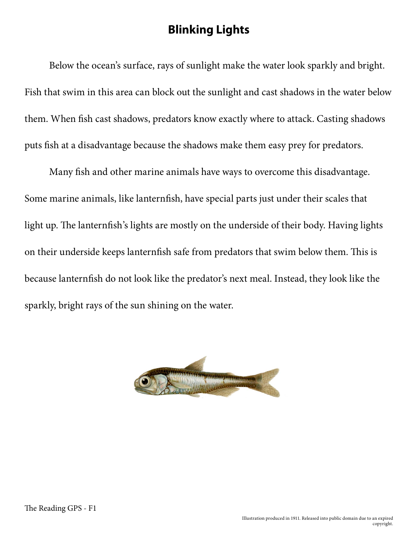## **Blinking Lights**

Below the ocean's surface, rays of sunlight make the water look sparkly and bright. Fish that swim in this area can block out the sunlight and cast shadows in the water below them. When fish cast shadows, predators know exactly where to attack. Casting shadows puts fish at a disadvantage because the shadows make them easy prey for predators.

Many fish and other marine animals have ways to overcome this disadvantage. Some marine animals, like lanternfish, have special parts just under their scales that light up. The lanternfish's lights are mostly on the underside of their body. Having lights on their underside keeps lanternfish safe from predators that swim below them. This is because lanternfish do not look like the predator's next meal. Instead, they look like the sparkly, bright rays of the sun shining on the water.